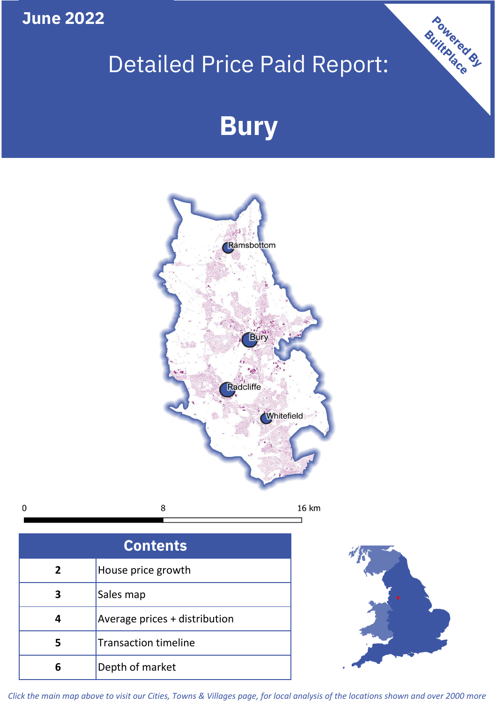**June 2022**

 $\mathbf 0$ 

## Detailed Price Paid Report:

# **Bury**



| <b>Contents</b> |                               |  |  |
|-----------------|-------------------------------|--|--|
| $\overline{2}$  | House price growth            |  |  |
|                 | Sales map                     |  |  |
|                 | Average prices + distribution |  |  |
| 5               | <b>Transaction timeline</b>   |  |  |
| 6               | Depth of market               |  |  |



Powered By

*Click the main map above to visit our Cities, Towns & Villages page, for local analysis of the locations shown and over 2000 more*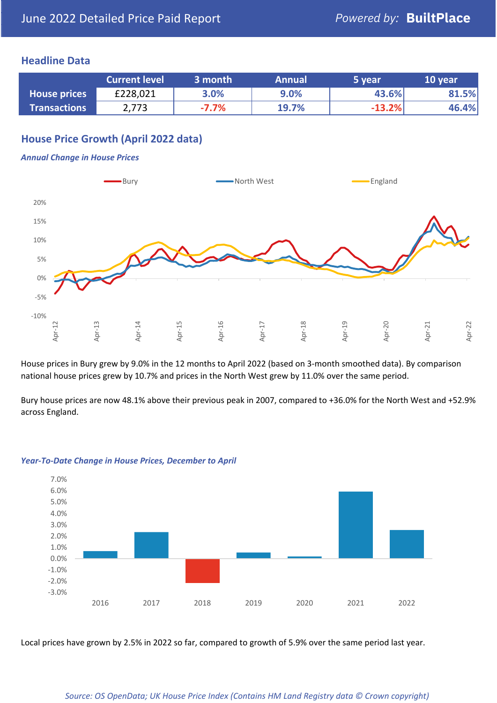#### **Headline Data**

|                     | <b>Current level</b> | 3 month  | <b>Annual</b> | 5 vear   | 10 year |
|---------------------|----------------------|----------|---------------|----------|---------|
| <b>House prices</b> | £228,021             | 3.0%     | 9.0%          | 43.6%    | 81.5%   |
| <b>Transactions</b> | 2,773                | $-7.7\%$ | <b>19.7%</b>  | $-13.2%$ | 46.4%   |

#### **House Price Growth (April 2022 data)**

#### *Annual Change in House Prices*



House prices in Bury grew by 9.0% in the 12 months to April 2022 (based on 3-month smoothed data). By comparison national house prices grew by 10.7% and prices in the North West grew by 11.0% over the same period.

Bury house prices are now 48.1% above their previous peak in 2007, compared to +36.0% for the North West and +52.9% across England.



#### *Year-To-Date Change in House Prices, December to April*

Local prices have grown by 2.5% in 2022 so far, compared to growth of 5.9% over the same period last year.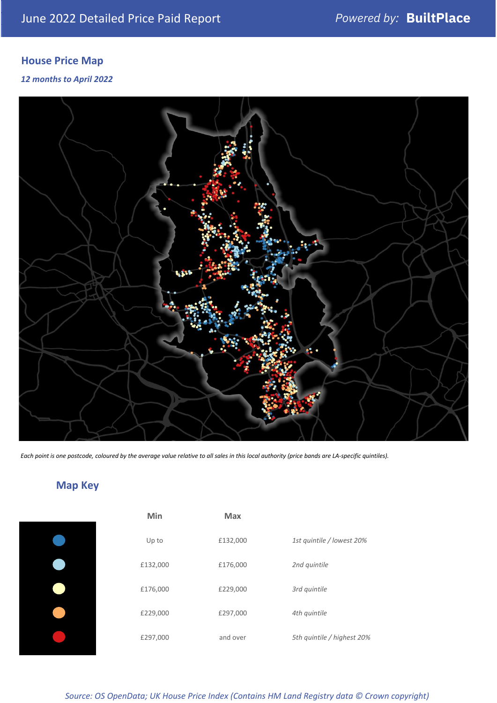### **House Price Map**

*12 months to April 2022*



*Each point is one postcode, coloured by the average value relative to all sales in this local authority (price bands are LA-specific quintiles).*

### **Map Key**

| Min      |
|----------|
| Up to    |
| £132,000 |
| £176,000 |
| £229,000 |
| £297,000 |
|          |

| Min      | <b>Max</b> |                            |
|----------|------------|----------------------------|
| Up to    | £132,000   | 1st quintile / lowest 20%  |
| £132,000 | £176,000   | 2nd quintile               |
| £176,000 | £229,000   | 3rd quintile               |
| £229,000 | £297,000   | 4th quintile               |
| £297,000 | and over   | 5th quintile / highest 20% |

*Source: OS OpenData; UK House Price Index (Contains HM Land Registry data © Crown copyright)*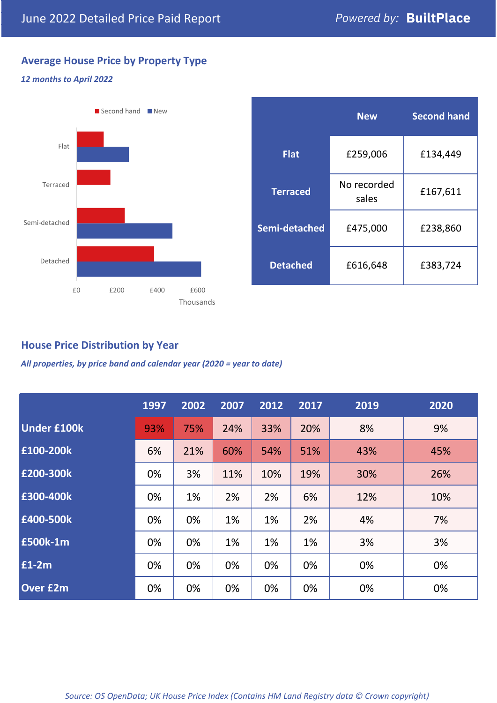#### **Average House Price by Property Type**

#### *12 months to April 2022*



|                 | <b>New</b>           | <b>Second hand</b> |  |  |
|-----------------|----------------------|--------------------|--|--|
| <b>Flat</b>     | £259,006             | £134,449           |  |  |
| <b>Terraced</b> | No recorded<br>sales | £167,611           |  |  |
| Semi-detached   | £475,000             | £238,860           |  |  |
| <b>Detached</b> | £616,648             | £383,724           |  |  |

#### **House Price Distribution by Year**

*All properties, by price band and calendar year (2020 = year to date)*

|                    | 1997 | 2002 | 2007 | 2012 | 2017 | 2019 | 2020 |
|--------------------|------|------|------|------|------|------|------|
| <b>Under £100k</b> | 93%  | 75%  | 24%  | 33%  | 20%  | 8%   | 9%   |
| £100-200k          | 6%   | 21%  | 60%  | 54%  | 51%  | 43%  | 45%  |
| E200-300k          | 0%   | 3%   | 11%  | 10%  | 19%  | 30%  | 26%  |
| £300-400k          | 0%   | 1%   | 2%   | 2%   | 6%   | 12%  | 10%  |
| £400-500k          | 0%   | 0%   | 1%   | 1%   | 2%   | 4%   | 7%   |
| <b>£500k-1m</b>    | 0%   | 0%   | 1%   | 1%   | 1%   | 3%   | 3%   |
| £1-2m              | 0%   | 0%   | 0%   | 0%   | 0%   | 0%   | 0%   |
| <b>Over £2m</b>    | 0%   | 0%   | 0%   | 0%   | 0%   | 0%   | 0%   |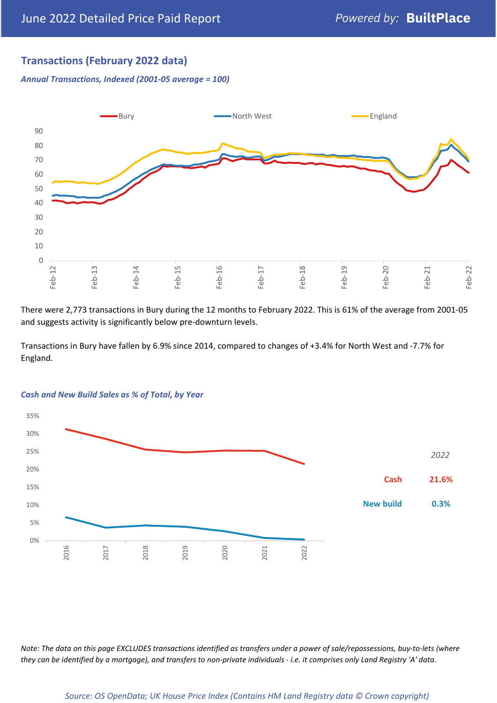#### **Transactions (February 2022 data)**

*Annual Transactions, Indexed (2001-05 average = 100)*



There were 2,773 transactions in Bury during the 12 months to February 2022. This is 61% of the average from 2001-05 and suggests activity is significantly below pre-downturn levels.

Transactions in Bury have fallen by 6.9% since 2014, compared to changes of +3.4% for North West and -7.7% for England.



#### *Cash and New Build Sales as % of Total, by Year*

*Note: The data on this page EXCLUDES transactions identified as transfers under a power of sale/repossessions, buy-to-lets (where they can be identified by a mortgage), and transfers to non-private individuals - i.e. it comprises only Land Registry 'A' data.*